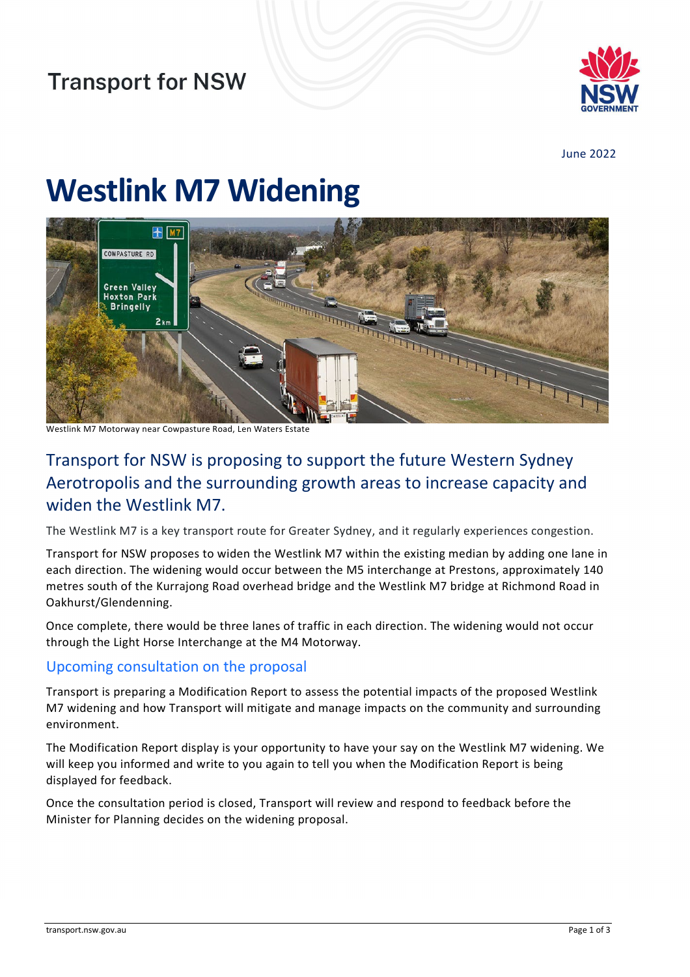

June 2022

# **Westlink M7 Widening**



Westlink M7 Motorway near Cowpasture Road, Len Waters Estate

## Transport for NSW is proposing to support the future Western Sydney Aerotropolis and the surrounding growth areas to increase capacity and widen the Westlink M7.

The Westlink M7 is a key transport route for Greater Sydney, and it regularly experiences congestion.

Transport for NSW proposes to widen the Westlink M7 within the existing median by adding one lane in each direction. The widening would occur between the M5 interchange at Prestons, approximately 140 metres south of the Kurrajong Road overhead bridge and the Westlink M7 bridge at Richmond Road in Oakhurst/Glendenning.

Once complete, there would be three lanes of traffic in each direction. The widening would not occur through the Light Horse Interchange at the M4 Motorway.

#### Upcoming consultation on the proposal

Transport is preparing a Modification Report to assess the potential impacts of the proposed Westlink M7 widening and how Transport will mitigate and manage impacts on the community and surrounding environment.

The Modification Report display is your opportunity to have your say on the Westlink M7 widening. We will keep you informed and write to you again to tell you when the Modification Report is being displayed for feedback.

Once the consultation period is closed, Transport will review and respond to feedback before the Minister for Planning decides on the widening proposal.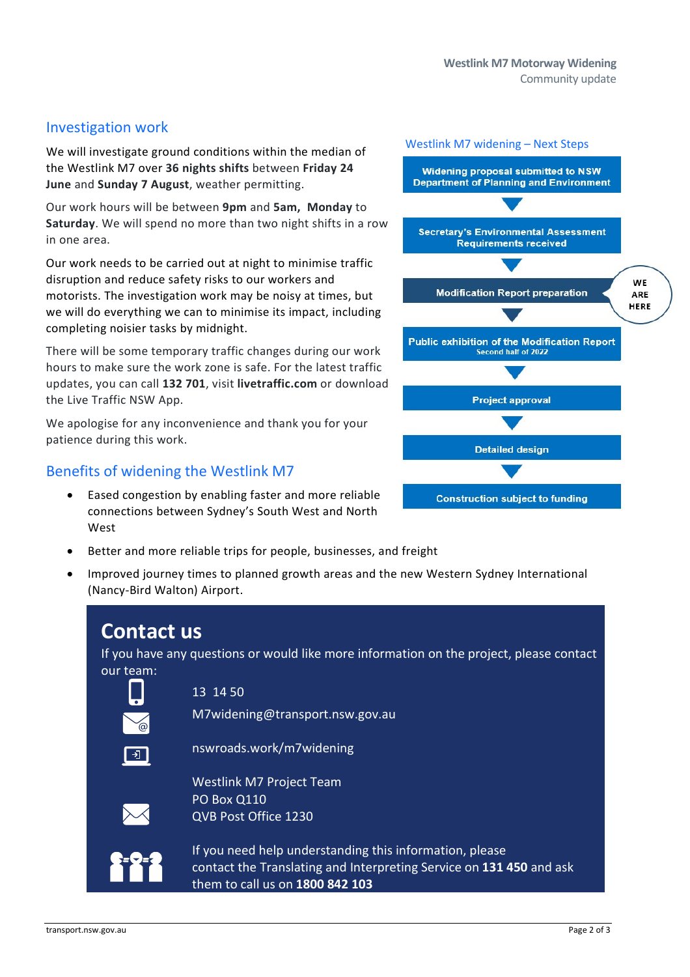#### Investigation work

We will investigate ground conditions within the median of the Westlink M7 over **36 nights shifts** between **Friday 24 June** and **Sunday 7 August**, weather permitting.

Our work hours will be between **9pm** and **5am, Monday** to **Saturday**. We will spend no more than two night shifts in a row in one area.

Our work needs to be carried out at night to minimise traffic disruption and reduce safety risks to our workers and motorists. The investigation work may be noisy at times, but we will do everything we can to minimise its impact, including completing noisier tasks by midnight.

There will be some temporary traffic changes during our work hours to make sure the work zone is safe. For the latest traffic updates, you can call **132 701**, visit **livetraffic.com** or download the Live Traffic NSW App.

We apologise for any inconvenience and thank you for your patience during this work.

### Benefits of widening the Westlink M7

- Eased congestion by enabling faster and more reliable connections between Sydney's South West and North West
- Better and more reliable trips for people, businesses, and freight
- Improved journey times to planned growth areas and the new Western Sydney International (Nancy-Bird Walton) Airport.